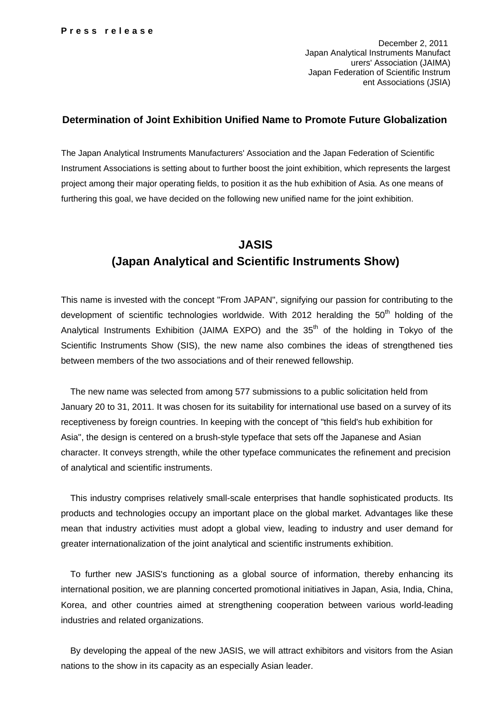December 2, 2011 Japan Analytical Instruments Manufact urers' Association (JAIMA) Japan Federation of Scientific Instrum ent Associations (JSIA)

## **Determination of Joint Exhibition Unified Name to Promote Future Globalization**

The Japan Analytical Instruments Manufacturers' Association and the Japan Federation of Scientific Instrument Associations is setting about to further boost the joint exhibition, which represents the largest project among their major operating fields, to position it as the hub exhibition of Asia. As one means of furthering this goal, we have decided on the following new unified name for the joint exhibition.

## **JASIS (Japan Analytical and Scientific Instruments Show)**

This name is invested with the concept "From JAPAN", signifying our passion for contributing to the development of scientific technologies worldwide. With 2012 heralding the  $50<sup>th</sup>$  holding of the Analytical Instruments Exhibition (JAIMA EXPO) and the  $35<sup>th</sup>$  of the holding in Tokyo of the Scientific Instruments Show (SIS), the new name also combines the ideas of strengthened ties between members of the two associations and of their renewed fellowship.

The new name was selected from among 577 submissions to a public solicitation held from January 20 to 31, 2011. It was chosen for its suitability for international use based on a survey of its receptiveness by foreign countries. In keeping with the concept of "this field's hub exhibition for Asia", the design is centered on a brush-style typeface that sets off the Japanese and Asian character. It conveys strength, while the other typeface communicates the refinement and precision of analytical and scientific instruments.

This industry comprises relatively small-scale enterprises that handle sophisticated products. Its products and technologies occupy an important place on the global market. Advantages like these mean that industry activities must adopt a global view, leading to industry and user demand for greater internationalization of the joint analytical and scientific instruments exhibition.

To further new JASIS's functioning as a global source of information, thereby enhancing its international position, we are planning concerted promotional initiatives in Japan, Asia, India, China, Korea, and other countries aimed at strengthening cooperation between various world-leading industries and related organizations.

By developing the appeal of the new JASIS, we will attract exhibitors and visitors from the Asian nations to the show in its capacity as an especially Asian leader.